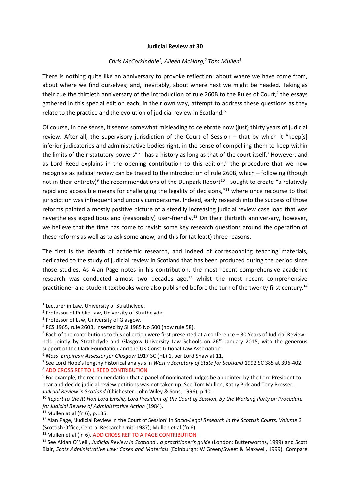## **Judicial Review at 30**

## *Chris McCorkindale<sup>1</sup> , Aileen McHarg,<sup>2</sup> Tom Mullen<sup>3</sup>*

There is nothing quite like an anniversary to provoke reflection: about where we have come from, about where we find ourselves; and, inevitably, about where next we might be headed. Taking as their cue the thirtieth anniversary of the introduction of rule 260B to the Rules of Court,<sup>4</sup> the essays gathered in this special edition each, in their own way, attempt to address these questions as they relate to the practice and the evolution of judicial review in Scotland.<sup>5</sup>

Of course, in one sense, it seems somewhat misleading to celebrate now (just) thirty years of judicial review. After all, the supervisory jurisdiction of the Court of Session – that by which it "keep[s] inferior judicatories and administrative bodies right, in the sense of compelling them to keep within the limits of their statutory powers"<sup>6</sup> - has a history as long as that of the court itself.<sup>7</sup> However, and as Lord Reed explains in the opening contribution to this edition, $<sup>8</sup>$  the procedure that we now</sup> recognise as judicial review can be traced to the introduction of rule 260B, which – following (though not in their entirety)<sup>9</sup> the recommendations of the Dunpark Report<sup>10</sup> - sought to create "a relatively rapid and accessible means for challenging the legality of decisions,"<sup>11</sup> where once recourse to that jurisdiction was infrequent and unduly cumbersome. Indeed, early research into the success of those reforms painted a mostly positive picture of a steadily increasing judicial review case load that was nevertheless expeditious and (reasonably) user-friendly.<sup>12</sup> On their thirtieth anniversary, however, we believe that the time has come to revisit some key research questions around the operation of these reforms as well as to ask some anew, and this for (at least) three reasons.

The first is the dearth of academic research, and indeed of corresponding teaching materials, dedicated to the study of judicial review in Scotland that has been produced during the period since those studies. As Alan Page notes in his contribution, the most recent comprehensive academic research was conducted almost two decades ago, $^{13}$  whilst the most recent comprehensive practitioner and student textbooks were also published before the turn of the twenty-first century.<sup>14</sup>

 $\overline{a}$ 

 $11$  Mullen at al (fn 6), p.135.

<sup>&</sup>lt;sup>1</sup> Lecturer in Law, University of Strathclyde.

<sup>2</sup> Professor of Public Law, University of Strathclyde.

<sup>&</sup>lt;sup>3</sup> Professor of Law, University of Glasgow.

<sup>4</sup> RCS 1965, rule 260B, inserted by SI 1985 No 500 (now rule 58).

 $5$  Each of the contributions to this collection were first presented at a conference  $-30$  Years of Judicial Review held jointly by Strathclyde and Glasgow University Law Schools on 26<sup>th</sup> January 2015, with the generous support of the Clark Foundation and the UK Constitutional Law Association.

<sup>6</sup> *Moss' Empires v Assessor for Glasgow* 1917 SC (HL) 1, per Lord Shaw at 11.

<sup>7</sup> See Lord Hope's lengthy historical analysis in *West v Secretary of State for Scotland* 1992 SC 385 at 396-402. <sup>8</sup> ADD CROSS REF TO L REED CONTRIBUTION

<sup>&</sup>lt;sup>9</sup> For example, the recommendation that a panel of nominated judges be appointed by the Lord President to hear and decide judicial review petitions was not taken up. See Tom Mullen, Kathy Pick and Tony Prosser, *Judicial Review in Scotland* (Chichester: John Wiley & Sons, 1996), p.10.

<sup>10</sup> *Report to the Rt Hon Lord Emslie, Lord President of the Court of Session, by the Working Party on Procedure for Judicial Review of Administrative Action* (1984).

<sup>12</sup> Alan Page, 'Judicial Review in the Court of Session' in *Socio-Legal Research in the Scottish Courts, Volume 2* (Scottish Office, Central Research Unit, 1987); Mullen et al (fn 6).

<sup>&</sup>lt;sup>13</sup> Mullen et al (fn 6). ADD CROSS REF TO A PAGE CONTRIBUTION

<sup>14</sup> See Aidan O'Neill, *Judicial Review in Scotland : a practitioner's guide* (London: Butterworths, 1999) and Scott Blair, *Scots Administrative Law: Cases and Materials* (Edinburgh: W Green/Sweet & Maxwell, 1999). Compare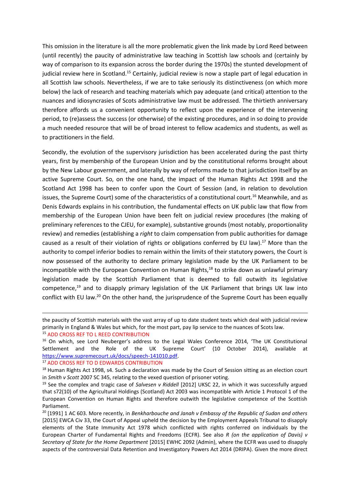This omission in the literature is all the more problematic given the link made by Lord Reed between (until recently) the paucity of administrative law teaching in Scottish law schools and (certainly by way of comparison to its expansion across the border during the 1970s) the stunted development of judicial review here in Scotland.<sup>15</sup> Certainly, judicial review is now a staple part of legal education in all Scottish law schools. Nevertheless, if we are to take seriously its distinctiveness (on which more below) the lack of research and teaching materials which pay adequate (and critical) attention to the nuances and idiosyncrasies of Scots administrative law must be addressed. The thirtieth anniversary therefore affords us a convenient opportunity to reflect upon the experience of the intervening period, to (re)assess the success (or otherwise) of the existing procedures, and in so doing to provide a much needed resource that will be of broad interest to fellow academics and students, as well as to practitioners in the field.

Secondly, the evolution of the supervisory jurisdiction has been accelerated during the past thirty years, first by membership of the European Union and by the constitutional reforms brought about by the New Labour government, and laterally by way of reforms made to that jurisdiction itself by an active Supreme Court. So, on the one hand, the impact of the Human Rights Act 1998 and the Scotland Act 1998 has been to confer upon the Court of Session (and, in relation to devolution issues, the Supreme Court) some of the characteristics of a constitutional court.<sup>16</sup> Meanwhile, and as Denis Edwards explains in his contribution, the fundamental effects on UK public law that flow from membership of the European Union have been felt on judicial review procedures (the making of preliminary references to the CJEU, for example), substantive grounds (most notably, proportionality review) and remedies (establishing a *right* to claim compensation from public authorities for damage caused as a result of their violation of rights or obligations conferred by EU law).<sup>17</sup> More than the authority to compel inferior bodies to remain within the limits of their statutory powers, the Court is now possessed of the authority to declare primary legislation made by the UK Parliament to be incompatible with the European Convention on Human Rights,<sup>18</sup> to strike down as unlawful primary legislation made by the Scottish Parliament that is deemed to fall outwith its legislative competence,<sup>19</sup> and to disapply primary legislation of the UK Parliament that brings UK law into conflict with EU law.<sup>20</sup> On the other hand, the jurisprudence of the Supreme Court has been equally

 $\overline{a}$ 

the paucity of Scottish materials with the vast array of up to date student texts which deal with judicial review primarily in England & Wales but which, for the most part, pay lip service to the nuances of Scots law.

<sup>15</sup> ADD CROSS REF TO L REED CONTRIBUTION

<sup>&</sup>lt;sup>16</sup> On which, see Lord Neuberger's address to the Legal Wales Conference 2014, 'The UK Constitutional Settlement and the Role of the UK Supreme Court' (10 October 2014), available at [https://www.supremecourt.uk/docs/speech-141010.pdf.](https://www.supremecourt.uk/docs/speech-141010.pdf)

<sup>17</sup> ADD CROSS REF TO D EDWARDS CONTRIBUTION

<sup>&</sup>lt;sup>18</sup> Human Rights Act 1998, s4. Such a declaration was made by the Court of Session sitting as an election court in *Smith v Scott* 2007 SC 345, relating to the vexed question of prisoner voting.

<sup>19</sup> See the complex and tragic case of *Salvesen v Riddell* [2012] UKSC 22, in which it was successfully argued that s72(10) of the Agricultural Holdings (Scotland) Act 2003 was incompatible with Article 1 Protocol 1 of the European Convention on Human Rights and therefore outwith the legislative competence of the Scottish Parliament.

<sup>20</sup> [1991] 1 AC 603. More recently, in *Benkharbouche and Janah v Embassy of the Republic of Sudan and others* [2015] EWCA Civ 33, the Court of Appeal upheld the decision by the Employment Appeals Tribunal to disapply elements of the State Immunity Act 1978 which conflicted with rights conferred on individuals by the European Charter of Fundamental Rights and Freedoms (ECFR). See also *R (on the application of Davis) v Secretary of State for the Home Department* [2015] EWHC 2092 (Admin), where the ECFR was used to disapply aspects of the controversial Data Retention and Investigatory Powers Act 2014 (DRIPA). Given the more direct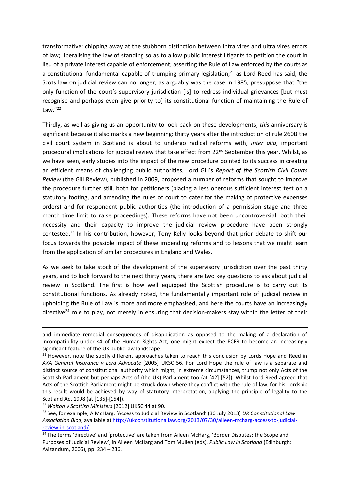transformative: chipping away at the stubborn distinction between intra vires and ultra vires errors of law; liberalising the law of standing so as to allow public interest litigants to petition the court in lieu of a private interest capable of enforcement; asserting the Rule of Law enforced by the courts as a constitutional fundamental capable of trumping primary legislation;<sup>21</sup> as Lord Reed has said, the Scots law on judicial review can no longer, as arguably was the case in 1985, presuppose that "the only function of the court's supervisory jurisdiction [is] to redress individual grievances [but must recognise and perhaps even give priority to] its constitutional function of maintaining the Rule of Law."<sup>22</sup>

Thirdly, as well as giving us an opportunity to look back on these developments, *this* anniversary is significant because it also marks a new beginning: thirty years after the introduction of rule 260B the civil court system in Scotland is about to undergo radical reforms with, *inter alia*, important procedural implications for judicial review that take effect from 22<sup>nd</sup> September this year. Whilst, as we have seen, early studies into the impact of the new procedure pointed to its success in creating an efficient means of challenging public authorities, Lord Gill's *Report of the Scottish Civil Courts Review* (the Gill Review), published in 2009, proposed a number of reforms that sought to improve the procedure further still, both for petitioners (placing a less onerous sufficient interest test on a statutory footing, and amending the rules of court to cater for the making of protective expenses orders) and for respondent public authorities (the introduction of a permission stage and three month time limit to raise proceedings). These reforms have not been uncontroversial: both their necessity and their capacity to improve the judicial review procedure have been strongly contested.<sup>23</sup> In his contribution, however, Tony Kelly looks beyond that prior debate to shift our focus towards the possible impact of these impending reforms and to lessons that we might learn from the application of similar procedures in England and Wales.

As we seek to take stock of the development of the supervisory jurisdiction over the past thirty years, and to look forward to the next thirty years, there are two key questions to ask about judicial review in Scotland. The first is how well equipped the Scottish procedure is to carry out its constitutional functions. As already noted, the fundamentally important role of judicial review in upholding the Rule of Law is more and more emphasised, and here the courts have an increasingly directive<sup>24</sup> role to play, not merely in ensuring that decision-makers stay within the letter of their

**.** 

and immediate remedial consequences of disapplication as opposed to the making of a declaration of incompatibility under s4 of the Human Rights Act, one might expect the ECFR to become an increasingly significant feature of the UK public law landscape.

<sup>&</sup>lt;sup>21</sup> However, note the subtly different approaches taken to reach this conclusion by Lords Hope and Reed in *AXA General Insurance v Lord Advocate* [2005] UKSC 56. For Lord Hope the rule of law is a separate and distinct source of constitutional authority which might, in extreme circumstances, trump not only Acts of the Scottish Parliament but perhaps Acts of (the UK) Parliament too (at [42]-[52]). Whilst Lord Reed agreed that Acts of the Scottish Parliament might be struck down where they conflict with the rule of law, for his Lordship this result would be achieved by way of statutory interpretation, applying the principle of legality to the Scotland Act 1998 (at [135]-[154]).

<sup>22</sup> *Walton v Scottish Ministers* [2012] UKSC 44 at 90.

<sup>23</sup> See, for example, A McHarg, 'Access to Judicial Review in Scotland' (30 July 2013) *UK Constitutional Law Association Blog*, available at [http://ukconstitutionallaw.org/2013/07/30/aileen-mcharg-access-to-judicial](http://ukconstitutionallaw.org/2013/07/30/aileen-mcharg-access-to-judicial-review-in-scotland/)[review-in-scotland/.](http://ukconstitutionallaw.org/2013/07/30/aileen-mcharg-access-to-judicial-review-in-scotland/) 

<sup>&</sup>lt;sup>24</sup> The terms 'directive' and 'protective' are taken from Aileen McHarg, 'Border Disputes: the Scope and Purposes of Judicial Review', in Aileen McHarg and Tom Mullen (eds), *Public Law in Scotland* (Edinburgh: Avizandum, 2006), pp. 234 – 236.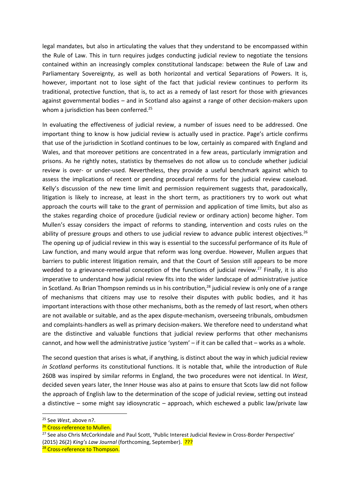legal mandates, but also in articulating the values that they understand to be encompassed within the Rule of Law. This in turn requires judges conducting judicial review to negotiate the tensions contained within an increasingly complex constitutional landscape: between the Rule of Law and Parliamentary Sovereignty, as well as both horizontal and vertical Separations of Powers. It is, however, important not to lose sight of the fact that judicial review continues to perform its traditional, protective function, that is, to act as a remedy of last resort for those with grievances against governmental bodies – and in Scotland also against a range of other decision-makers upon whom a jurisdiction has been conferred.<sup>25</sup>

In evaluating the effectiveness of judicial review, a number of issues need to be addressed. One important thing to know is how judicial review is actually used in practice. Page's article confirms that use of the jurisdiction in Scotland continues to be low, certainly as compared with England and Wales, and that moreover petitions are concentrated in a few areas, particularly immigration and prisons. As he rightly notes, statistics by themselves do not allow us to conclude whether judicial review is over- or under-used. Nevertheless, they provide a useful benchmark against which to assess the implications of recent or pending procedural reforms for the judicial review caseload. Kelly's discussion of the new time limit and permission requirement suggests that, paradoxically, litigation is likely to increase, at least in the short term, as practitioners try to work out what approach the courts will take to the grant of permission and application of time limits, but also as the stakes regarding choice of procedure (judicial review or ordinary action) become higher. Tom Mullen's essay considers the impact of reforms to standing, intervention and costs rules on the ability of pressure groups and others to use judicial review to advance public interest objectives.<sup>26</sup> The opening up of judicial review in this way is essential to the successful performance of its Rule of Law function, and many would argue that reform was long overdue. However, Mullen argues that barriers to public interest litigation remain, and that the Court of Session still appears to be more wedded to a grievance-remedial conception of the functions of judicial review.<sup>27</sup> Finally, it is also imperative to understand how judicial review fits into the wider landscape of administrative justice in Scotland. As Brian Thompson reminds us in his contribution, <sup>28</sup> judicial review is only one of a range of mechanisms that citizens may use to resolve their disputes with public bodies, and it has important interactions with those other mechanisms, both as the remedy of last resort, when others are not available or suitable, and as the apex dispute-mechanism, overseeing tribunals, ombudsmen and complaints-handlers as well as primary decision-makers. We therefore need to understand what are the distinctive and valuable functions that judicial review performs that other mechanisms cannot, and how well the administrative justice 'system' – if it can be called that – works as a whole.

The second question that arises is what, if anything, is distinct about the way in which judicial review *in Scotland* performs its constitutional functions. It is notable that, while the introduction of Rule 260B was inspired by similar reforms in England, the two procedures were not identical. In *West*, decided seven years later, the Inner House was also at pains to ensure that Scots law did not follow the approach of English law to the determination of the scope of judicial review, setting out instead a distinctive – some might say idiosyncratic – approach, which eschewed a public law/private law

 $\overline{a}$ 

<sup>25</sup> See *West*, above n?.

<sup>&</sup>lt;sup>26</sup> Cross-reference to Mullen.

<sup>&</sup>lt;sup>27</sup> See also Chris McCorkindale and Paul Scott, 'Public Interest Judicial Review in Cross-Border Perspective' (2015) 26(2) *King's Law Journal* (forthcoming, September). ???

<sup>&</sup>lt;sup>28</sup> Cross-reference to Thompson.